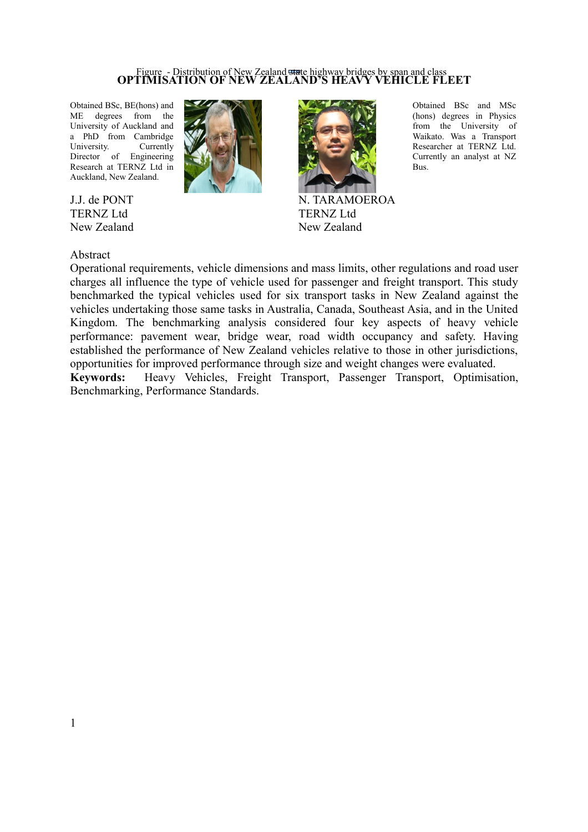# Figure - Distribution of New Zealand state highway bridges by span and class **OPTIMISATION OF NEW ZEALAND'S HEAVY VEHICLE FLEET**

Obtained BSc, BE(hons) and ME degrees from the University of Auckland and a PhD from Cambridge University. Currently Director of Engineering Research at TERNZ Ltd in Auckland, New Zealand.

J.J. de PONT TERNZ Ltd New Zealand





Obtained BSc and MSc (hons) degrees in Physics from the University of Waikato. Was a Transport Researcher at TERNZ Ltd. Currently an analyst at NZ

Bus.

N. TARAMOEROA TERNZ Ltd New Zealand

Abstract

Operational requirements, vehicle dimensions and mass limits, other regulations and road user charges all influence the type of vehicle used for passenger and freight transport. This study benchmarked the typical vehicles used for six transport tasks in New Zealand against the vehicles undertaking those same tasks in Australia, Canada, Southeast Asia, and in the United Kingdom. The benchmarking analysis considered four key aspects of heavy vehicle performance: pavement wear, bridge wear, road width occupancy and safety. Having established the performance of New Zealand vehicles relative to those in other jurisdictions, opportunities for improved performance through size and weight changes were evaluated.

**Keywords:** Heavy Vehicles, Freight Transport, Passenger Transport, Optimisation, Benchmarking, Performance Standards.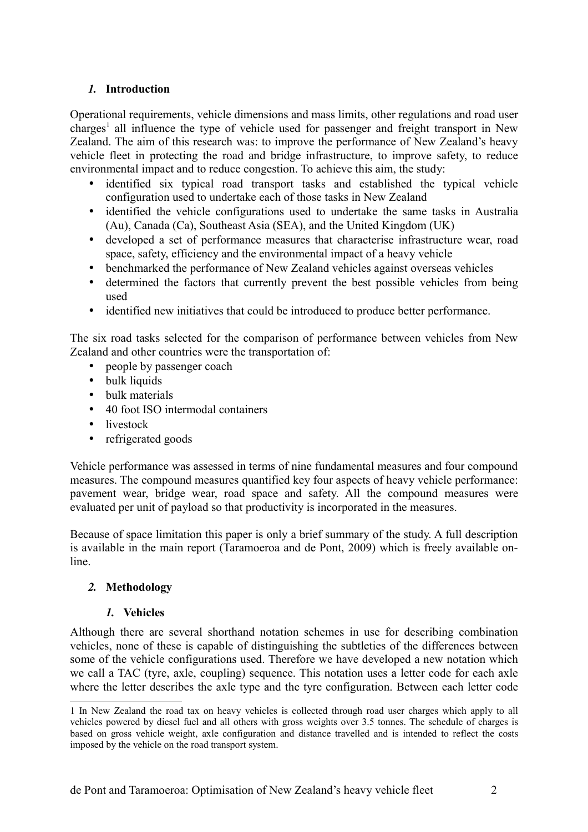# *1.* **Introduction**

Operational requirements, vehicle dimensions and mass limits, other regulations and road user charges<sup>[1](#page-1-0)</sup> all influence the type of vehicle used for passenger and freight transport in New Zealand. The aim of this research was: to improve the performance of New Zealand's heavy vehicle fleet in protecting the road and bridge infrastructure, to improve safety, to reduce environmental impact and to reduce congestion. To achieve this aim, the study:

- identified six typical road transport tasks and established the typical vehicle configuration used to undertake each of those tasks in New Zealand
- identified the vehicle configurations used to undertake the same tasks in Australia (Au), Canada (Ca), Southeast Asia (SEA), and the United Kingdom (UK)
- developed a set of performance measures that characterise infrastructure wear, road space, safety, efficiency and the environmental impact of a heavy vehicle
- benchmarked the performance of New Zealand vehicles against overseas vehicles
- determined the factors that currently prevent the best possible vehicles from being used
- identified new initiatives that could be introduced to produce better performance.

The six road tasks selected for the comparison of performance between vehicles from New Zealand and other countries were the transportation of:

- people by passenger coach
- bulk liquids
- bulk materials
- 40 foot ISO intermodal containers
- livestock
- refrigerated goods

Vehicle performance was assessed in terms of nine fundamental measures and four compound measures. The compound measures quantified key four aspects of heavy vehicle performance: pavement wear, bridge wear, road space and safety. All the compound measures were evaluated per unit of payload so that productivity is incorporated in the measures.

Because of space limitation this paper is only a brief summary of the study. A full description is available in the main report (Taramoeroa and de Pont, 2009) which is freely available online.

## *2.* **Methodology**

## *1.* **Vehicles**

Although there are several shorthand notation schemes in use for describing combination vehicles, none of these is capable of distinguishing the subtleties of the differences between some of the vehicle configurations used. Therefore we have developed a new notation which we call a TAC (tyre, axle, coupling) sequence. This notation uses a letter code for each axle where the letter describes the axle type and the tyre configuration. Between each letter code

<span id="page-1-0"></span><sup>1</sup> In New Zealand the road tax on heavy vehicles is collected through road user charges which apply to all vehicles powered by diesel fuel and all others with gross weights over 3.5 tonnes. The schedule of charges is based on gross vehicle weight, axle configuration and distance travelled and is intended to reflect the costs imposed by the vehicle on the road transport system.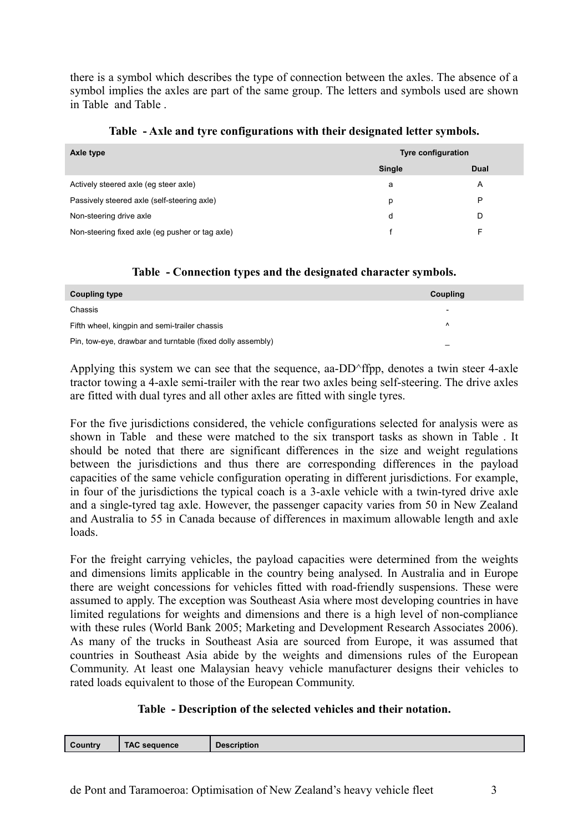there is a symbol which describes the type of connection between the axles. The absence of a symbol implies the axles are part of the same group. The letters and symbols used are shown in [Table](#page-2-0) and [Table .](#page-2-2)

| Axle type                                       | <b>Tyre configuration</b> |             |  |
|-------------------------------------------------|---------------------------|-------------|--|
|                                                 | Single                    | <b>Dual</b> |  |
| Actively steered axle (eg steer axle)           | a                         | A           |  |
| Passively steered axle (self-steering axle)     | р                         | P           |  |
| Non-steering drive axle                         | d                         | D           |  |
| Non-steering fixed axle (eg pusher or tag axle) |                           | F           |  |

#### <span id="page-2-0"></span>**Table - Axle and tyre configurations with their designated letter symbols.**

## <span id="page-2-2"></span>**Table - Connection types and the designated character symbols.**

| <b>Coupling type</b>                                       | Coupling                 |
|------------------------------------------------------------|--------------------------|
| Chassis                                                    | $\overline{\phantom{0}}$ |
| Fifth wheel, kingpin and semi-trailer chassis              | $\lambda$                |
| Pin, tow-eye, drawbar and turntable (fixed dolly assembly) |                          |

Applying this system we can see that the sequence, aa-DD^ffpp, denotes a twin steer 4-axle tractor towing a 4-axle semi-trailer with the rear two axles being self-steering. The drive axles are fitted with dual tyres and all other axles are fitted with single tyres.

For the five jurisdictions considered, the vehicle configurations selected for analysis were as shown in [Table](#page-2-1) and these were matched to the six transport tasks as shown in [Table .](#page-3-0) It should be noted that there are significant differences in the size and weight regulations between the jurisdictions and thus there are corresponding differences in the payload capacities of the same vehicle configuration operating in different jurisdictions. For example, in four of the jurisdictions the typical coach is a 3-axle vehicle with a twin-tyred drive axle and a single-tyred tag axle. However, the passenger capacity varies from 50 in New Zealand and Australia to 55 in Canada because of differences in maximum allowable length and axle loads.

For the freight carrying vehicles, the payload capacities were determined from the weights and dimensions limits applicable in the country being analysed. In Australia and in Europe there are weight concessions for vehicles fitted with road-friendly suspensions. These were assumed to apply. The exception was Southeast Asia where most developing countries in have limited regulations for weights and dimensions and there is a high level of non-compliance with these rules (World Bank 2005; Marketing and Development Research Associates 2006). As many of the trucks in Southeast Asia are sourced from Europe, it was assumed that countries in Southeast Asia abide by the weights and dimensions rules of the European Community. At least one Malaysian heavy vehicle manufacturer designs their vehicles to rated loads equivalent to those of the European Community.

## <span id="page-2-1"></span>**Table - Description of the selected vehicles and their notation.**

| Country | <b>TAC sequence</b> | <b>Description</b> |
|---------|---------------------|--------------------|
|         |                     |                    |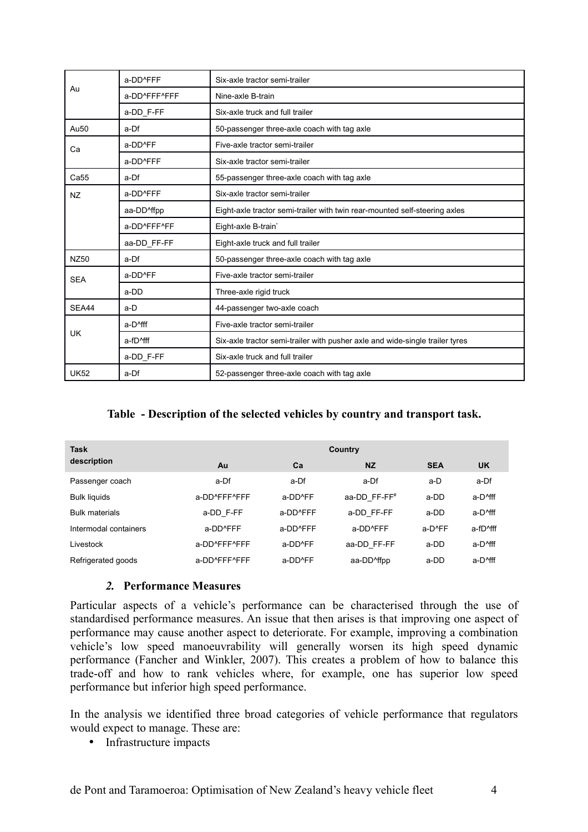|             | a-DD^FFF                | Six-axle tractor semi-trailer                                                |  |  |
|-------------|-------------------------|------------------------------------------------------------------------------|--|--|
| Au          | a-DD^FFF^FFF            | Nine-axle B-train                                                            |  |  |
|             | a-DD_F-FF               | Six-axle truck and full trailer                                              |  |  |
| Au50        | a-Df                    | 50-passenger three-axle coach with tag axle                                  |  |  |
| Сa          | a-DD^FF                 | Five-axle tractor semi-trailer                                               |  |  |
|             | a-DD^FFF                | Six-axle tractor semi-trailer                                                |  |  |
| Ca55        | a-Df                    | 55-passenger three-axle coach with tag axle                                  |  |  |
| <b>NZ</b>   | a-DD^FFF                | Six-axle tractor semi-trailer                                                |  |  |
|             | aa-DD <sup>^</sup> ffpp | Eight-axle tractor semi-trailer with twin rear-mounted self-steering axles   |  |  |
|             | a-DD^FFF^FF             | Eight-axle B-train <sup>*</sup>                                              |  |  |
|             | aa-DD FF-FF             | Eight-axle truck and full trailer                                            |  |  |
| NZ50        | a-Df                    | 50-passenger three-axle coach with tag axle                                  |  |  |
| <b>SEA</b>  | a-DD <sup>^</sup> FF    | Five-axle tractor semi-trailer                                               |  |  |
|             | a-DD                    | Three-axle rigid truck                                                       |  |  |
| SEA44       | a-D                     | 44-passenger two-axle coach                                                  |  |  |
| UK          | a-D <sup>^</sup> fff    | Five-axle tractor semi-trailer                                               |  |  |
|             | a-fD <sup>^</sup> fff   | Six-axle tractor semi-trailer with pusher axle and wide-single trailer tyres |  |  |
|             | a-DD_F-FF               | Six-axle truck and full trailer                                              |  |  |
| <b>UK52</b> | a-Df                    | 52-passenger three-axle coach with tag axle                                  |  |  |

## <span id="page-3-0"></span>**Table - Description of the selected vehicles by country and transport task.**

| <b>Task</b>           | Country      |                         |                         |            |                                           |
|-----------------------|--------------|-------------------------|-------------------------|------------|-------------------------------------------|
| description           | Au           | Ca                      | <b>NZ</b>               | <b>SEA</b> | <b>UK</b>                                 |
| Passenger coach       | a-Df         | a-Df                    | a-Df                    | a-D        | a-Df                                      |
| <b>Bulk liquids</b>   | a-DD^FFF^FFF | $a$ -DD <sup>A</sup> FF | aa-DD FF-FF#            | a-DD       | a-D <sup>^</sup> fff                      |
| <b>Bulk materials</b> | a-DD F-FF    | a-DD^FFF                | a-DD FF-FF              | a-DD       | a-D <sup>^</sup> fff                      |
| Intermodal containers | a-DD^FFF     | a-DD^FFF                | a-DD^FFF                | a-D^FF     | $a$ -fD <sup><math>\wedge</math>fff</sup> |
| Livestock             | a-DD^FFF^FFF | $a$ -DD <sup>A</sup> FF | aa-DD FF-FF             | a-DD       | a-D <sup>^</sup> fff                      |
| Refrigerated goods    | a-DD^FFF^FFF | $a$ -DD <sup>A</sup> FF | aa-DD <sup>^</sup> ffpp | a-DD       | a-D <sup>^</sup> fff                      |

#### *2.* **Performance Measures**

Particular aspects of a vehicle's performance can be characterised through the use of standardised performance measures. An issue that then arises is that improving one aspect of performance may cause another aspect to deteriorate. For example, improving a combination vehicle's low speed manoeuvrability will generally worsen its high speed dynamic performance (Fancher and Winkler, 2007). This creates a problem of how to balance this trade-off and how to rank vehicles where, for example, one has superior low speed performance but inferior high speed performance.

In the analysis we identified three broad categories of vehicle performance that regulators would expect to manage. These are:

• Infrastructure impacts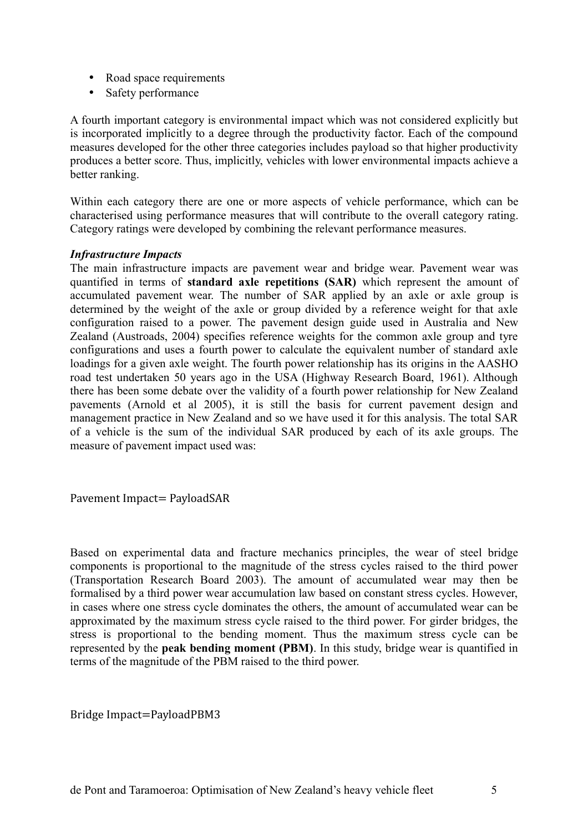- Road space requirements
- Safety performance

A fourth important category is environmental impact which was not considered explicitly but is incorporated implicitly to a degree through the productivity factor. Each of the compound measures developed for the other three categories includes payload so that higher productivity produces a better score. Thus, implicitly, vehicles with lower environmental impacts achieve a better ranking.

Within each category there are one or more aspects of vehicle performance, which can be characterised using performance measures that will contribute to the overall category rating. Category ratings were developed by combining the relevant performance measures.

#### *Infrastructure Impacts*

The main infrastructure impacts are pavement wear and bridge wear. Pavement wear was quantified in terms of **standard axle repetitions (SAR)** which represent the amount of accumulated pavement wear. The number of SAR applied by an axle or axle group is determined by the weight of the axle or group divided by a reference weight for that axle configuration raised to a power. The pavement design guide used in Australia and New Zealand (Austroads, 2004) specifies reference weights for the common axle group and tyre configurations and uses a fourth power to calculate the equivalent number of standard axle loadings for a given axle weight. The fourth power relationship has its origins in the AASHO road test undertaken 50 years ago in the USA (Highway Research Board, 1961). Although there has been some debate over the validity of a fourth power relationship for New Zealand pavements (Arnold et al 2005), it is still the basis for current pavement design and management practice in New Zealand and so we have used it for this analysis. The total SAR of a vehicle is the sum of the individual SAR produced by each of its axle groups. The measure of pavement impact used was:

Pavement Impact= PayloadSAR

Based on experimental data and fracture mechanics principles, the wear of steel bridge components is proportional to the magnitude of the stress cycles raised to the third power (Transportation Research Board 2003). The amount of accumulated wear may then be formalised by a third power wear accumulation law based on constant stress cycles. However, in cases where one stress cycle dominates the others, the amount of accumulated wear can be approximated by the maximum stress cycle raised to the third power. For girder bridges, the stress is proportional to the bending moment. Thus the maximum stress cycle can be represented by the **peak bending moment (PBM)**. In this study, bridge wear is quantified in terms of the magnitude of the PBM raised to the third power.

Bridge Impact=PayloadPBM3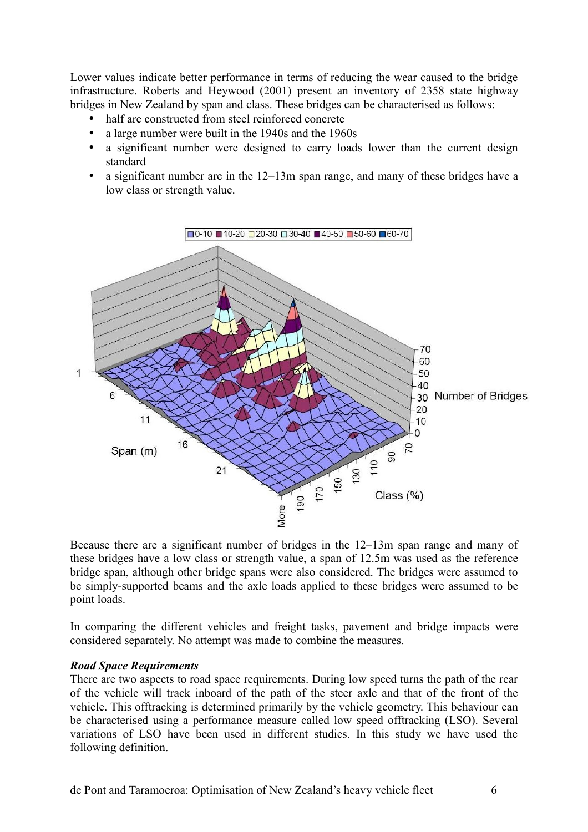Lower values indicate better performance in terms of reducing the wear caused to the bridge infrastructure. Roberts and Heywood (2001) present an inventory of 2358 state highway bridges in New Zealand by span and class. These bridges can be characterised as follows:

- half are constructed from steel reinforced concrete
- a large number were built in the 1940s and the 1960s
- a significant number were designed to carry loads lower than the current design standard
- a significant number are in the 12–13m span range, and many of these bridges have a low class or strength value.



Because there are a significant number of bridges in the 12–13m span range and many of these bridges have a low class or strength value, a span of 12.5m was used as the reference bridge span, although other bridge spans were also considered. The bridges were assumed to be simply-supported beams and the axle loads applied to these bridges were assumed to be point loads.

In comparing the different vehicles and freight tasks, pavement and bridge impacts were considered separately. No attempt was made to combine the measures.

#### *Road Space Requirements*

There are two aspects to road space requirements. During low speed turns the path of the rear of the vehicle will track inboard of the path of the steer axle and that of the front of the vehicle. This offtracking is determined primarily by the vehicle geometry. This behaviour can be characterised using a performance measure called low speed offtracking (LSO). Several variations of LSO have been used in different studies. In this study we have used the following definition.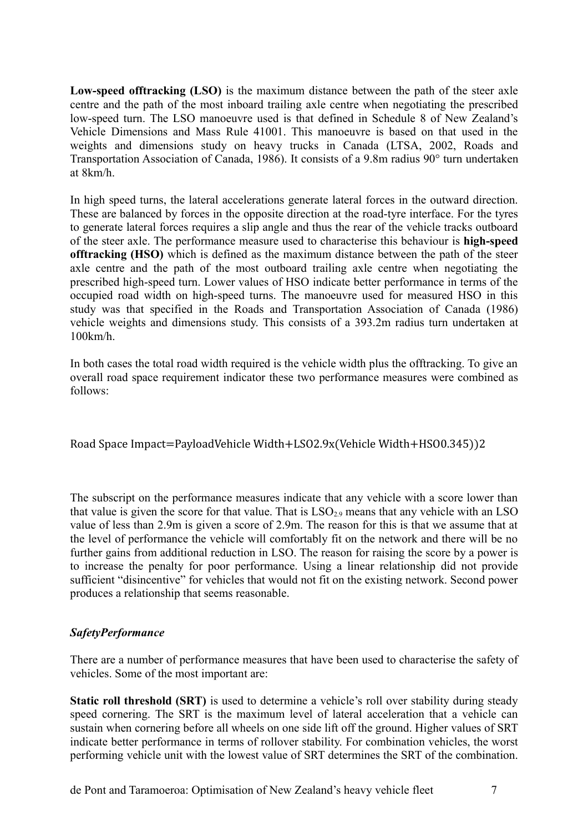**Low-speed offtracking (LSO)** is the maximum distance between the path of the steer axle centre and the path of the most inboard trailing axle centre when negotiating the prescribed low-speed turn. The LSO manoeuvre used is that defined in Schedule 8 of New Zealand's Vehicle Dimensions and Mass Rule 41001. This manoeuvre is based on that used in the weights and dimensions study on heavy trucks in Canada (LTSA, 2002, Roads and Transportation Association of Canada, 1986). It consists of a 9.8m radius 90° turn undertaken at 8km/h.

In high speed turns, the lateral accelerations generate lateral forces in the outward direction. These are balanced by forces in the opposite direction at the road-tyre interface. For the tyres to generate lateral forces requires a slip angle and thus the rear of the vehicle tracks outboard of the steer axle. The performance measure used to characterise this behaviour is **high-speed offtracking (HSO)** which is defined as the maximum distance between the path of the steer axle centre and the path of the most outboard trailing axle centre when negotiating the prescribed high-speed turn. Lower values of HSO indicate better performance in terms of the occupied road width on high-speed turns. The manoeuvre used for measured HSO in this study was that specified in the Roads and Transportation Association of Canada (1986) vehicle weights and dimensions study. This consists of a 393.2m radius turn undertaken at 100km/h.

In both cases the total road width required is the vehicle width plus the offtracking. To give an overall road space requirement indicator these two performance measures were combined as follows:

Road Space Impact=PayloadVehicle Width+LSO2.9x(Vehicle Width+HSO0.345))2

The subscript on the performance measures indicate that any vehicle with a score lower than that value is given the score for that value. That is  $LSO<sub>2.9</sub>$  means that any vehicle with an LSO value of less than 2.9m is given a score of 2.9m. The reason for this is that we assume that at the level of performance the vehicle will comfortably fit on the network and there will be no further gains from additional reduction in LSO. The reason for raising the score by a power is to increase the penalty for poor performance. Using a linear relationship did not provide sufficient "disincentive" for vehicles that would not fit on the existing network. Second power produces a relationship that seems reasonable.

## *SafetyPerformance*

There are a number of performance measures that have been used to characterise the safety of vehicles. Some of the most important are:

**Static roll threshold (SRT)** is used to determine a vehicle's roll over stability during steady speed cornering. The SRT is the maximum level of lateral acceleration that a vehicle can sustain when cornering before all wheels on one side lift off the ground. Higher values of SRT indicate better performance in terms of rollover stability. For combination vehicles, the worst performing vehicle unit with the lowest value of SRT determines the SRT of the combination.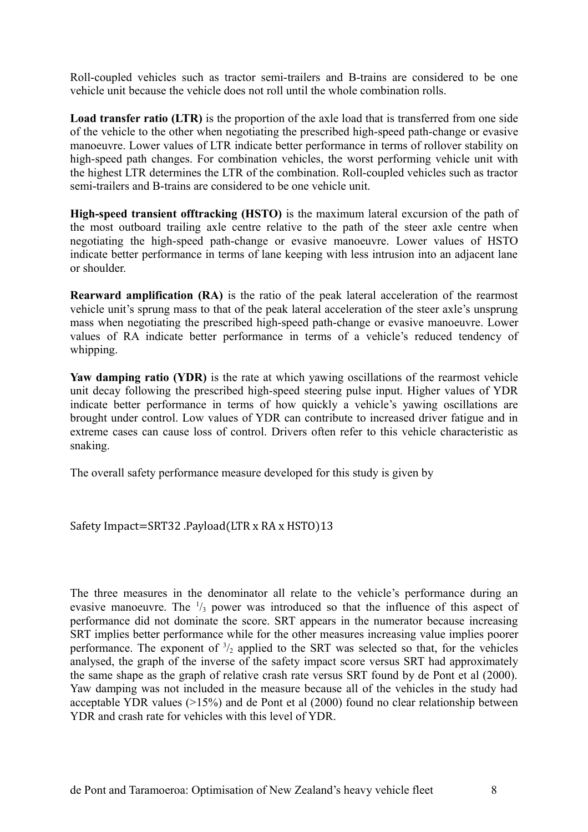Roll-coupled vehicles such as tractor semi-trailers and B-trains are considered to be one vehicle unit because the vehicle does not roll until the whole combination rolls.

**Load transfer ratio (LTR)** is the proportion of the axle load that is transferred from one side of the vehicle to the other when negotiating the prescribed high-speed path-change or evasive manoeuvre. Lower values of LTR indicate better performance in terms of rollover stability on high-speed path changes. For combination vehicles, the worst performing vehicle unit with the highest LTR determines the LTR of the combination. Roll-coupled vehicles such as tractor semi-trailers and B-trains are considered to be one vehicle unit.

**High-speed transient offtracking (HSTO)** is the maximum lateral excursion of the path of the most outboard trailing axle centre relative to the path of the steer axle centre when negotiating the high-speed path-change or evasive manoeuvre. Lower values of HSTO indicate better performance in terms of lane keeping with less intrusion into an adjacent lane or shoulder.

**Rearward amplification (RA)** is the ratio of the peak lateral acceleration of the rearmost vehicle unit's sprung mass to that of the peak lateral acceleration of the steer axle's unsprung mass when negotiating the prescribed high-speed path-change or evasive manoeuvre. Lower values of RA indicate better performance in terms of a vehicle's reduced tendency of whipping.

Yaw damping ratio (YDR) is the rate at which yawing oscillations of the rearmost vehicle unit decay following the prescribed high-speed steering pulse input. Higher values of YDR indicate better performance in terms of how quickly a vehicle's yawing oscillations are brought under control. Low values of YDR can contribute to increased driver fatigue and in extreme cases can cause loss of control. Drivers often refer to this vehicle characteristic as snaking.

The overall safety performance measure developed for this study is given by

## Safety Impact=SRT32 .Payload(LTR x RA x HSTO)13

The three measures in the denominator all relate to the vehicle's performance during an evasive manoeuvre. The  $\frac{1}{3}$  power was introduced so that the influence of this aspect of performance did not dominate the score. SRT appears in the numerator because increasing SRT implies better performance while for the other measures increasing value implies poorer performance. The exponent of  $\frac{3}{2}$  applied to the SRT was selected so that, for the vehicles analysed, the graph of the inverse of the safety impact score versus SRT had approximately the same shape as the graph of relative crash rate versus SRT found by de Pont et al (2000). Yaw damping was not included in the measure because all of the vehicles in the study had acceptable YDR values (>15%) and de Pont et al (2000) found no clear relationship between YDR and crash rate for vehicles with this level of YDR.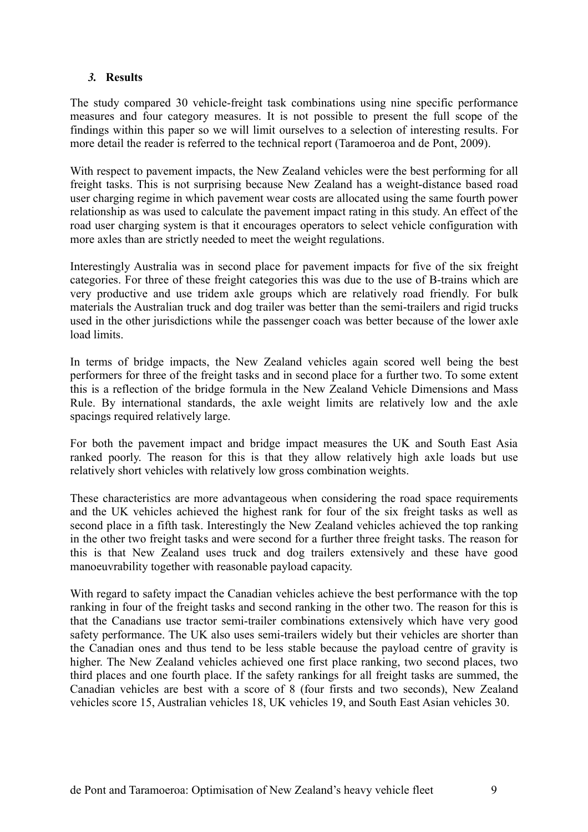## *3.* **Results**

The study compared 30 vehicle-freight task combinations using nine specific performance measures and four category measures. It is not possible to present the full scope of the findings within this paper so we will limit ourselves to a selection of interesting results. For more detail the reader is referred to the technical report (Taramoeroa and de Pont, 2009).

With respect to pavement impacts, the New Zealand vehicles were the best performing for all freight tasks. This is not surprising because New Zealand has a weight-distance based road user charging regime in which pavement wear costs are allocated using the same fourth power relationship as was used to calculate the pavement impact rating in this study. An effect of the road user charging system is that it encourages operators to select vehicle configuration with more axles than are strictly needed to meet the weight regulations.

Interestingly Australia was in second place for pavement impacts for five of the six freight categories. For three of these freight categories this was due to the use of B-trains which are very productive and use tridem axle groups which are relatively road friendly. For bulk materials the Australian truck and dog trailer was better than the semi-trailers and rigid trucks used in the other jurisdictions while the passenger coach was better because of the lower axle load limits.

In terms of bridge impacts, the New Zealand vehicles again scored well being the best performers for three of the freight tasks and in second place for a further two. To some extent this is a reflection of the bridge formula in the New Zealand Vehicle Dimensions and Mass Rule. By international standards, the axle weight limits are relatively low and the axle spacings required relatively large.

For both the pavement impact and bridge impact measures the UK and South East Asia ranked poorly. The reason for this is that they allow relatively high axle loads but use relatively short vehicles with relatively low gross combination weights.

These characteristics are more advantageous when considering the road space requirements and the UK vehicles achieved the highest rank for four of the six freight tasks as well as second place in a fifth task. Interestingly the New Zealand vehicles achieved the top ranking in the other two freight tasks and were second for a further three freight tasks. The reason for this is that New Zealand uses truck and dog trailers extensively and these have good manoeuvrability together with reasonable payload capacity.

With regard to safety impact the Canadian vehicles achieve the best performance with the top ranking in four of the freight tasks and second ranking in the other two. The reason for this is that the Canadians use tractor semi-trailer combinations extensively which have very good safety performance. The UK also uses semi-trailers widely but their vehicles are shorter than the Canadian ones and thus tend to be less stable because the payload centre of gravity is higher. The New Zealand vehicles achieved one first place ranking, two second places, two third places and one fourth place. If the safety rankings for all freight tasks are summed, the Canadian vehicles are best with a score of 8 (four firsts and two seconds), New Zealand vehicles score 15, Australian vehicles 18, UK vehicles 19, and South East Asian vehicles 30.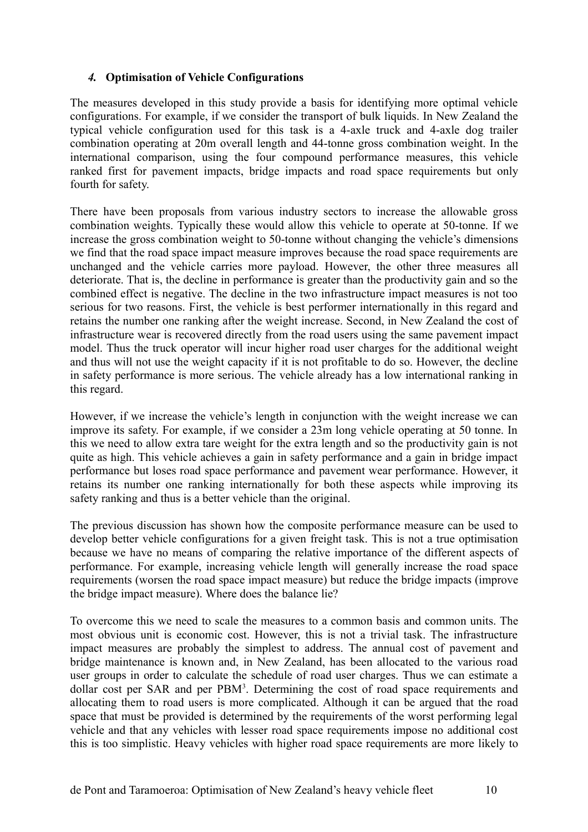# *4.* **Optimisation of Vehicle Configurations**

The measures developed in this study provide a basis for identifying more optimal vehicle configurations. For example, if we consider the transport of bulk liquids. In New Zealand the typical vehicle configuration used for this task is a 4-axle truck and 4-axle dog trailer combination operating at 20m overall length and 44-tonne gross combination weight. In the international comparison, using the four compound performance measures, this vehicle ranked first for pavement impacts, bridge impacts and road space requirements but only fourth for safety.

There have been proposals from various industry sectors to increase the allowable gross combination weights. Typically these would allow this vehicle to operate at 50-tonne. If we increase the gross combination weight to 50-tonne without changing the vehicle's dimensions we find that the road space impact measure improves because the road space requirements are unchanged and the vehicle carries more payload. However, the other three measures all deteriorate. That is, the decline in performance is greater than the productivity gain and so the combined effect is negative. The decline in the two infrastructure impact measures is not too serious for two reasons. First, the vehicle is best performer internationally in this regard and retains the number one ranking after the weight increase. Second, in New Zealand the cost of infrastructure wear is recovered directly from the road users using the same pavement impact model. Thus the truck operator will incur higher road user charges for the additional weight and thus will not use the weight capacity if it is not profitable to do so. However, the decline in safety performance is more serious. The vehicle already has a low international ranking in this regard.

However, if we increase the vehicle's length in conjunction with the weight increase we can improve its safety. For example, if we consider a 23m long vehicle operating at 50 tonne. In this we need to allow extra tare weight for the extra length and so the productivity gain is not quite as high. This vehicle achieves a gain in safety performance and a gain in bridge impact performance but loses road space performance and pavement wear performance. However, it retains its number one ranking internationally for both these aspects while improving its safety ranking and thus is a better vehicle than the original.

The previous discussion has shown how the composite performance measure can be used to develop better vehicle configurations for a given freight task. This is not a true optimisation because we have no means of comparing the relative importance of the different aspects of performance. For example, increasing vehicle length will generally increase the road space requirements (worsen the road space impact measure) but reduce the bridge impacts (improve the bridge impact measure). Where does the balance lie?

To overcome this we need to scale the measures to a common basis and common units. The most obvious unit is economic cost. However, this is not a trivial task. The infrastructure impact measures are probably the simplest to address. The annual cost of pavement and bridge maintenance is known and, in New Zealand, has been allocated to the various road user groups in order to calculate the schedule of road user charges. Thus we can estimate a dollar cost per SAR and per  $PBM<sup>3</sup>$ . Determining the cost of road space requirements and allocating them to road users is more complicated. Although it can be argued that the road space that must be provided is determined by the requirements of the worst performing legal vehicle and that any vehicles with lesser road space requirements impose no additional cost this is too simplistic. Heavy vehicles with higher road space requirements are more likely to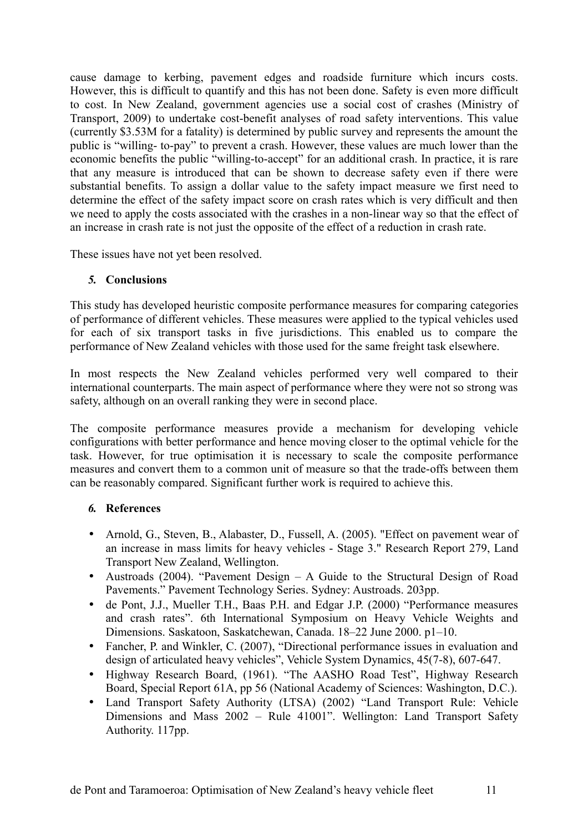cause damage to kerbing, pavement edges and roadside furniture which incurs costs. However, this is difficult to quantify and this has not been done. Safety is even more difficult to cost. In New Zealand, government agencies use a social cost of crashes (Ministry of Transport, 2009) to undertake cost-benefit analyses of road safety interventions. This value (currently \$3.53M for a fatality) is determined by public survey and represents the amount the public is "willing- to-pay" to prevent a crash. However, these values are much lower than the economic benefits the public "willing-to-accept" for an additional crash. In practice, it is rare that any measure is introduced that can be shown to decrease safety even if there were substantial benefits. To assign a dollar value to the safety impact measure we first need to determine the effect of the safety impact score on crash rates which is very difficult and then we need to apply the costs associated with the crashes in a non-linear way so that the effect of an increase in crash rate is not just the opposite of the effect of a reduction in crash rate.

These issues have not yet been resolved.

## *5.* **Conclusions**

This study has developed heuristic composite performance measures for comparing categories of performance of different vehicles. These measures were applied to the typical vehicles used for each of six transport tasks in five jurisdictions. This enabled us to compare the performance of New Zealand vehicles with those used for the same freight task elsewhere.

In most respects the New Zealand vehicles performed very well compared to their international counterparts. The main aspect of performance where they were not so strong was safety, although on an overall ranking they were in second place.

The composite performance measures provide a mechanism for developing vehicle configurations with better performance and hence moving closer to the optimal vehicle for the task. However, for true optimisation it is necessary to scale the composite performance measures and convert them to a common unit of measure so that the trade-offs between them can be reasonably compared. Significant further work is required to achieve this.

## *6.* **References**

- Arnold, G., Steven, B., Alabaster, D., Fussell, A. (2005). "Effect on pavement wear of an increase in mass limits for heavy vehicles - Stage 3." Research Report 279, Land Transport New Zealand, Wellington.
- Austroads (2004). "Pavement Design A Guide to the Structural Design of Road Pavements." Pavement Technology Series. Sydney: Austroads. 203pp.
- de Pont, J.J., Mueller T.H., Baas P.H. and Edgar J.P. (2000) "Performance measures and crash rates". 6th International Symposium on Heavy Vehicle Weights and Dimensions. Saskatoon, Saskatchewan, Canada. 18–22 June 2000. p1–10.
- Fancher, P. and Winkler, C. (2007), "Directional performance issues in evaluation and design of articulated heavy vehicles", Vehicle System Dynamics, 45(7-8), 607-647.
- Highway Research Board, (1961). "The AASHO Road Test", Highway Research Board, Special Report 61A, pp 56 (National Academy of Sciences: Washington, D.C.).
- Land Transport Safety Authority (LTSA) (2002) "Land Transport Rule: Vehicle Dimensions and Mass 2002 – Rule 41001". Wellington: Land Transport Safety Authority. 117pp.